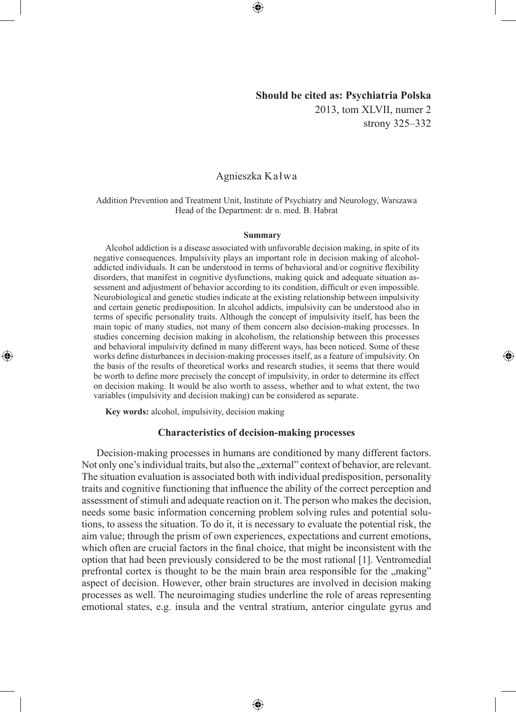# **Should be cited as: Psychiatria Polska**

2013, tom XLVII, numer 2 strony 325–332

◈

# Agnieszka Kałwa

#### Addition Prevention and Treatment Unit, Institute of Psychiatry and Neurology, Warszawa Head of the Department: dr n. med. B. Habrat

#### **Summary**

Alcohol addiction is a disease associated with unfavorable decision making, in spite of its negative consequences. Impulsivity plays an important role in decision making of alcoholaddicted individuals. It can be understood in terms of behavioral and/or cognitive flexibility disorders, that manifest in cognitive dysfunctions, making quick and adequate situation assessment and adjustment of behavior according to its condition, difficult or even impossible. Neurobiological and genetic studies indicate at the existing relationship between impulsivity and certain genetic predisposition. In alcohol addicts, impulsivity can be understood also in terms of specific personality traits. Although the concept of impulsivity itself, has been the main topic of many studies, not many of them concern also decision-making processes. In studies concerning decision making in alcoholism, the relationship between this processes and behavioral impulsivity defined in many different ways, has been noticed. Some of these works define disturbances in decision-making processes itself, as a feature of impulsivity. On the basis of the results of theoretical works and research studies, it seems that there would be worth to define more precisely the concept of impulsivity, in order to determine its effect on decision making. It would be also worth to assess, whether and to what extent, the two variables (impulsivity and decision making) can be considered as separate.

**Key words:** alcohol, impulsivity, decision making

◈

### **Characteristics of decision-making processes**

Decision-making processes in humans are conditioned by many different factors. Not only one's individual traits, but also the "external" context of behavior, are relevant. The situation evaluation is associated both with individual predisposition, personality traits and cognitive functioning that influence the ability of the correct perception and assessment of stimuli and adequate reaction on it. The person who makes the decision, needs some basic information concerning problem solving rules and potential solutions, to assess the situation. To do it, it is necessary to evaluate the potential risk, the aim value; through the prism of own experiences, expectations and current emotions, which often are crucial factors in the final choice, that might be inconsistent with the option that had been previously considered to be the most rational [1]. Ventromedial prefrontal cortex is thought to be the main brain area responsible for the  $\ldots$  making" aspect of decision. However, other brain structures are involved in decision making processes as well. The neuroimaging studies underline the role of areas representing emotional states, e.g. insula and the ventral stratium, anterior cingulate gyrus and

⊕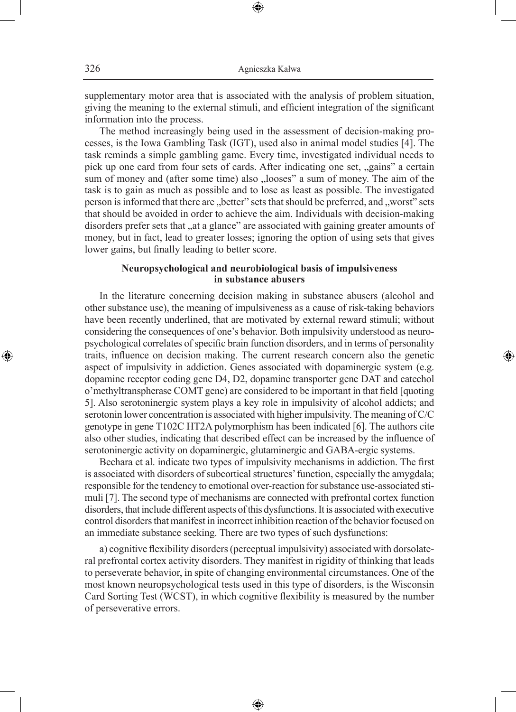supplementary motor area that is associated with the analysis of problem situation, giving the meaning to the external stimuli, and efficient integration of the significant information into the process.

⊕

The method increasingly being used in the assessment of decision-making processes, is the Iowa Gambling Task (IGT), used also in animal model studies [4]. The task reminds a simple gambling game. Every time, investigated individual needs to pick up one card from four sets of cards. After indicating one set, "gains" a certain sum of money and (after some time) also "looses" a sum of money. The aim of the task is to gain as much as possible and to lose as least as possible. The investigated person is informed that there are "better" sets that should be preferred, and "worst" sets that should be avoided in order to achieve the aim. Individuals with decision-making disorders prefer sets that "at a glance" are associated with gaining greater amounts of money, but in fact, lead to greater losses; ignoring the option of using sets that gives lower gains, but finally leading to better score.

# **Neuropsychological and neurobiological basis of impulsiveness in substance abusers**

In the literature concerning decision making in substance abusers (alcohol and other substance use), the meaning of impulsiveness as a cause of risk-taking behaviors have been recently underlined, that are motivated by external reward stimuli; without considering the consequences of one's behavior. Both impulsivity understood as neuropsychological correlates of specific brain function disorders, and in terms of personality traits, influence on decision making. The current research concern also the genetic aspect of impulsivity in addiction. Genes associated with dopaminergic system (e.g. dopamine receptor coding gene D4, D2, dopamine transporter gene DAT and catechol o'methyltranspherase COMT gene) are considered to be important in that field [quoting 5]. Also serotoninergic system plays a key role in impulsivity of alcohol addicts; and serotonin lower concentration is associated with higher impulsivity. The meaning of C/C genotype in gene T102C HT2A polymorphism has been indicated [6]. The authors cite also other studies, indicating that described effect can be increased by the influence of serotoninergic activity on dopaminergic, glutaminergic and GABA-ergic systems.

⊕

Bechara et al. indicate two types of impulsivity mechanisms in addiction. The first is associated with disorders of subcortical structures' function, especially the amygdala; responsible for the tendency to emotional over-reaction for substance use-associated stimuli [7]. The second type of mechanisms are connected with prefrontal cortex function disorders, that include different aspects of this dysfunctions. It is associated with executive control disorders that manifest in incorrect inhibition reaction of the behavior focused on an immediate substance seeking. There are two types of such dysfunctions:

a) cognitive flexibility disorders (perceptual impulsivity) associated with dorsolateral prefrontal cortex activity disorders. They manifest in rigidity of thinking that leads to perseverate behavior, in spite of changing environmental circumstances. One of the most known neuropsychological tests used in this type of disorders, is the Wisconsin Card Sorting Test (WCST), in which cognitive flexibility is measured by the number of perseverative errors.

⊕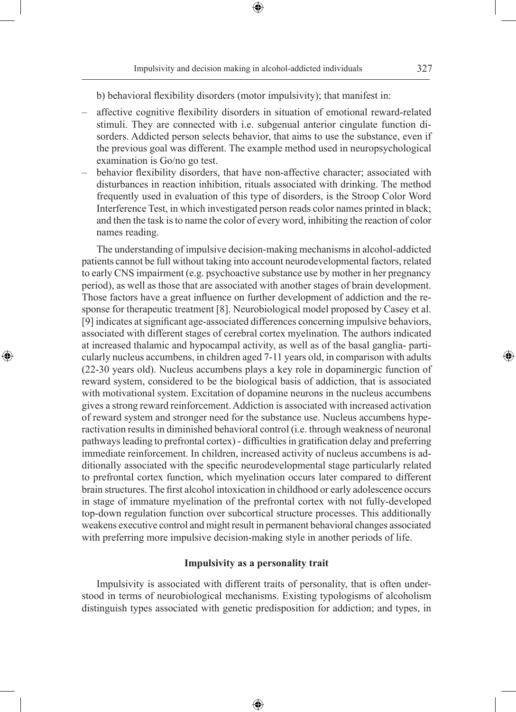⊕

◈

b) behavioral flexibility disorders (motor impulsivity); that manifest in:

- affective cognitive flexibility disorders in situation of emotional reward-related stimuli. They are connected with i.e. subgenual anterior cingulate function disorders. Addicted person selects behavior, that aims to use the substance, even if the previous goal was different. The example method used in neuropsychological examination is Go/no go test.
- behavior flexibility disorders, that have non-affective character; associated with disturbances in reaction inhibition, rituals associated with drinking. The method frequently used in evaluation of this type of disorders, is the Stroop Color Word Interference Test, in which investigated person reads color names printed in black; and then the task is to name the color of every word, inhibiting the reaction of color names reading.

The understanding of impulsive decision-making mechanisms in alcohol-addicted patients cannot be full without taking into account neurodevelopmental factors, related to early CNS impairment (e.g. psychoactive substance use by mother in her pregnancy period), as well as those that are associated with another stages of brain development. Those factors have a great influence on further development of addiction and the response for therapeutic treatment [8]. Neurobiological model proposed by Casey et al. [9] indicates at significant age-associated differences concerning impulsive behaviors, associated with different stages of cerebral cortex myelination. The authors indicated at increased thalamic and hypocampal activity, as well as of the basal ganglia- particularly nucleus accumbens, in children aged 7-11 years old, in comparison with adults (22-30 years old). Nucleus accumbens plays a key role in dopaminergic function of reward system, considered to be the biological basis of addiction, that is associated with motivational system. Excitation of dopamine neurons in the nucleus accumbens gives a strong reward reinforcement. Addiction is associated with increased activation of reward system and stronger need for the substance use. Nucleus accumbens hyperactivation results in diminished behavioral control (i.e. through weakness of neuronal pathways leading to prefrontal cortex) - difficulties in gratification delay and preferring immediate reinforcement. In children, increased activity of nucleus accumbens is additionally associated with the specific neurodevelopmental stage particularly related to prefrontal cortex function, which myelination occurs later compared to different brain structures. The first alcohol intoxication in childhood or early adolescence occurs in stage of immature myelination of the prefrontal cortex with not fully-developed top-down regulation function over subcortical structure processes. This additionally weakens executive control and might result in permanent behavioral changes associated with preferring more impulsive decision-making style in another periods of life.

◈

### **Impulsivity as a personality trait**

Impulsivity is associated with different traits of personality, that is often understood in terms of neurobiological mechanisms. Existing typologisms of alcoholism distinguish types associated with genetic predisposition for addiction; and types, in

⊕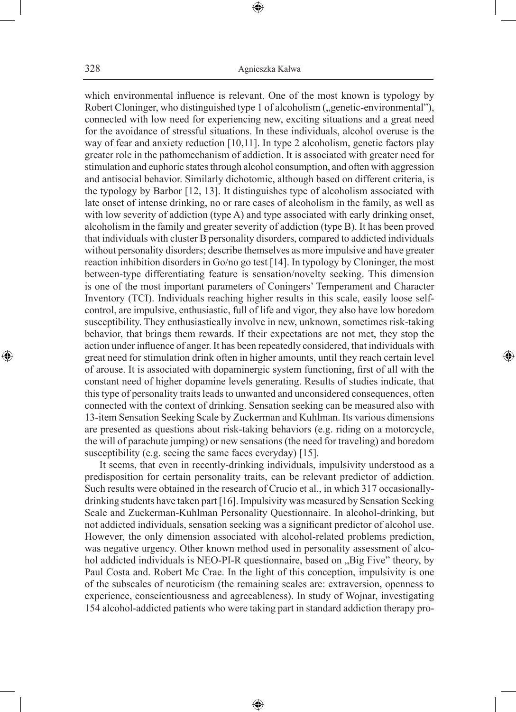328 Agnieszka Kałwa

⊕

which environmental influence is relevant. One of the most known is typology by Robert Cloninger, who distinguished type 1 of alcoholism ("genetic-environmental"), connected with low need for experiencing new, exciting situations and a great need for the avoidance of stressful situations. In these individuals, alcohol overuse is the way of fear and anxiety reduction [10,11]. In type 2 alcoholism, genetic factors play greater role in the pathomechanism of addiction. It is associated with greater need for stimulation and euphoric states through alcohol consumption, and often with aggression and antisocial behavior. Similarly dichotomic, although based on different criteria, is the typology by Barbor [12, 13]. It distinguishes type of alcoholism associated with late onset of intense drinking, no or rare cases of alcoholism in the family, as well as with low severity of addiction (type A) and type associated with early drinking onset, alcoholism in the family and greater severity of addiction (type B). It has been proved that individuals with cluster B personality disorders, compared to addicted individuals without personality disorders; describe themselves as more impulsive and have greater reaction inhibition disorders in Go/no go test [14]. In typology by Cloninger, the most between-type differentiating feature is sensation/novelty seeking. This dimension is one of the most important parameters of Coningers' Temperament and Character Inventory (TCI). Individuals reaching higher results in this scale, easily loose selfcontrol, are impulsive, enthusiastic, full of life and vigor, they also have low boredom susceptibility. They enthusiastically involve in new, unknown, sometimes risk-taking behavior, that brings them rewards. If their expectations are not met, they stop the action under influence of anger. It has been repeatedly considered, that individuals with great need for stimulation drink often in higher amounts, until they reach certain level of arouse. It is associated with dopaminergic system functioning, first of all with the constant need of higher dopamine levels generating. Results of studies indicate, that this type of personality traits leads to unwanted and unconsidered consequences, often connected with the context of drinking. Sensation seeking can be measured also with 13-item Sensation Seeking Scale by Zuckerman and Kuhlman. Its various dimensions are presented as questions about risk-taking behaviors (e.g. riding on a motorcycle, the will of parachute jumping) or new sensations (the need for traveling) and boredom susceptibility (e.g. seeing the same faces everyday) [15].

◈

It seems, that even in recently-drinking individuals, impulsivity understood as a predisposition for certain personality traits, can be relevant predictor of addiction. Such results were obtained in the research of Crucio et al., in which 317 occasionallydrinking students have taken part [16]. Impulsivity was measured by Sensation Seeking Scale and Zuckerman-Kuhlman Personality Questionnaire. In alcohol-drinking, but not addicted individuals, sensation seeking was a significant predictor of alcohol use. However, the only dimension associated with alcohol-related problems prediction, was negative urgency. Other known method used in personality assessment of alcohol addicted individuals is NEO-PI-R questionnaire, based on "Big Five" theory, by Paul Costa and. Robert Mc Crae. In the light of this conception, impulsivity is one of the subscales of neuroticism (the remaining scales are: extraversion, openness to experience, conscientiousness and agreeableness). In study of Wojnar, investigating 154 alcohol-addicted patients who were taking part in standard addiction therapy pro-

⊕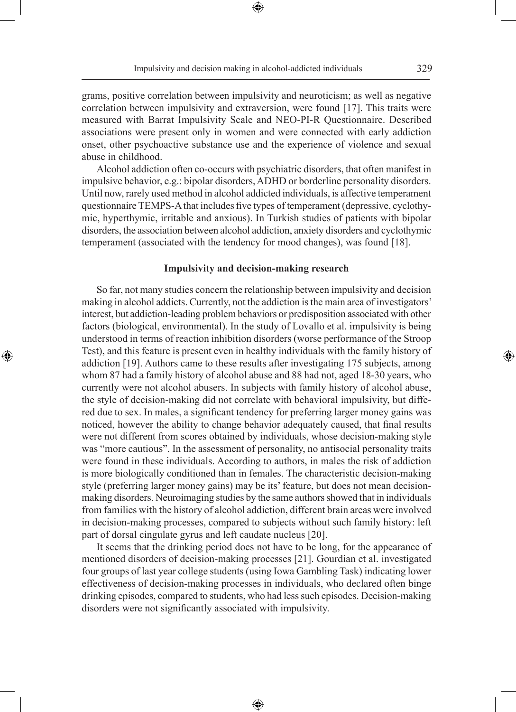⊕

◈

grams, positive correlation between impulsivity and neuroticism; as well as negative correlation between impulsivity and extraversion, were found [17]. This traits were measured with Barrat Impulsivity Scale and NEO-PI-R Questionnaire. Described associations were present only in women and were connected with early addiction onset, other psychoactive substance use and the experience of violence and sexual abuse in childhood.

Alcohol addiction often co-occurs with psychiatric disorders, that often manifest in impulsive behavior, e.g.: bipolar disorders, ADHD or borderline personality disorders. Until now, rarely used method in alcohol addicted individuals, is affective temperament questionnaire TEMPS-A that includes five types of temperament (depressive, cyclothymic, hyperthymic, irritable and anxious). In Turkish studies of patients with bipolar disorders, the association between alcohol addiction, anxiety disorders and cyclothymic temperament (associated with the tendency for mood changes), was found [18].

### **Impulsivity and decision-making research**

So far, not many studies concern the relationship between impulsivity and decision making in alcohol addicts. Currently, not the addiction is the main area of investigators' interest, but addiction-leading problem behaviors or predisposition associated with other factors (biological, environmental). In the study of Lovallo et al. impulsivity is being understood in terms of reaction inhibition disorders (worse performance of the Stroop Test), and this feature is present even in healthy individuals with the family history of addiction [19]. Authors came to these results after investigating 175 subjects, among whom 87 had a family history of alcohol abuse and 88 had not, aged 18-30 years, who currently were not alcohol abusers. In subjects with family history of alcohol abuse, the style of decision-making did not correlate with behavioral impulsivity, but differed due to sex. In males, a significant tendency for preferring larger money gains was noticed, however the ability to change behavior adequately caused, that final results were not different from scores obtained by individuals, whose decision-making style was "more cautious". In the assessment of personality, no antisocial personality traits were found in these individuals. According to authors, in males the risk of addiction is more biologically conditioned than in females. The characteristic decision-making style (preferring larger money gains) may be its' feature, but does not mean decisionmaking disorders. Neuroimaging studies by the same authors showed that in individuals from families with the history of alcohol addiction, different brain areas were involved in decision-making processes, compared to subjects without such family history: left part of dorsal cingulate gyrus and left caudate nucleus [20].

◈

It seems that the drinking period does not have to be long, for the appearance of mentioned disorders of decision-making processes [21]. Gourdian et al. investigated four groups of last year college students (using Iowa Gambling Task) indicating lower effectiveness of decision-making processes in individuals, who declared often binge drinking episodes, compared to students, who had less such episodes. Decision-making disorders were not significantly associated with impulsivity.

⊕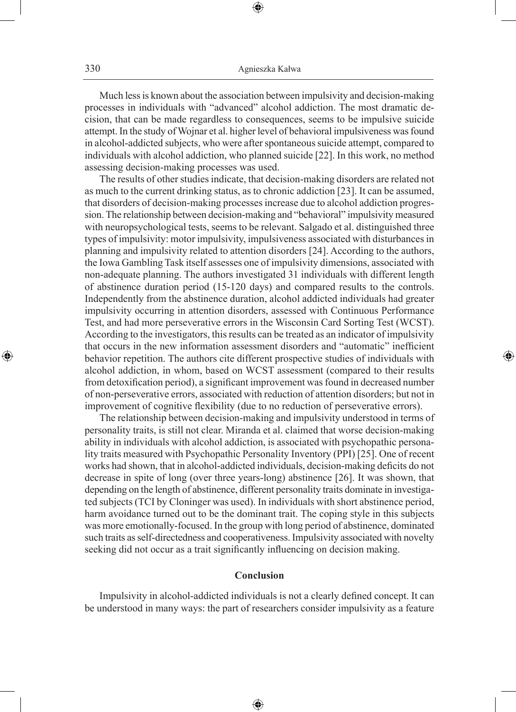⊕

Much less is known about the association between impulsivity and decision-making processes in individuals with "advanced" alcohol addiction. The most dramatic decision, that can be made regardless to consequences, seems to be impulsive suicide attempt. In the study of Wojnar et al. higher level of behavioral impulsiveness was found in alcohol-addicted subjects, who were after spontaneous suicide attempt, compared to individuals with alcohol addiction, who planned suicide [22]. In this work, no method assessing decision-making processes was used.

The results of other studies indicate, that decision-making disorders are related not as much to the current drinking status, as to chronic addiction [23]. It can be assumed, that disorders of decision-making processes increase due to alcohol addiction progression. The relationship between decision-making and "behavioral" impulsivity measured with neuropsychological tests, seems to be relevant. Salgado et al. distinguished three types of impulsivity: motor impulsivity, impulsiveness associated with disturbances in planning and impulsivity related to attention disorders [24]. According to the authors, the Iowa Gambling Task itself assesses one of impulsivity dimensions, associated with non-adequate planning. The authors investigated 31 individuals with different length of abstinence duration period (15-120 days) and compared results to the controls. Independently from the abstinence duration, alcohol addicted individuals had greater impulsivity occurring in attention disorders, assessed with Continuous Performance Test, and had more perseverative errors in the Wisconsin Card Sorting Test (WCST). According to the investigators, this results can be treated as an indicator of impulsivity that occurs in the new information assessment disorders and "automatic" inefficient behavior repetition. The authors cite different prospective studies of individuals with alcohol addiction, in whom, based on WCST assessment (compared to their results from detoxification period), a significant improvement was found in decreased number of non-perseverative errors, associated with reduction of attention disorders; but not in improvement of cognitive flexibility (due to no reduction of perseverative errors).

◈

The relationship between decision-making and impulsivity understood in terms of personality traits, is still not clear. Miranda et al. claimed that worse decision-making ability in individuals with alcohol addiction, is associated with psychopathic personality traits measured with Psychopathic Personality Inventory (PPI) [25]. One of recent works had shown, that in alcohol-addicted individuals, decision-making deficits do not decrease in spite of long (over three years-long) abstinence [26]. It was shown, that depending on the length of abstinence, different personality traits dominate in investigated subjects (TCI by Cloninger was used). In individuals with short abstinence period, harm avoidance turned out to be the dominant trait. The coping style in this subjects was more emotionally-focused. In the group with long period of abstinence, dominated such traits as self-directedness and cooperativeness. Impulsivity associated with novelty seeking did not occur as a trait significantly influencing on decision making.

### **Conclusion**

Impulsivity in alcohol-addicted individuals is not a clearly defined concept. It can be understood in many ways: the part of researchers consider impulsivity as a feature

⊕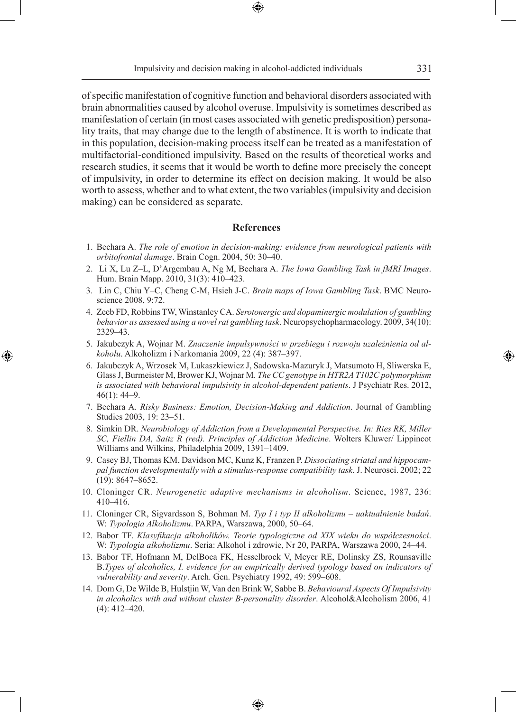Impulsivity and decision making in alcohol-addicted individuals 331

of specific manifestation of cognitive function and behavioral disorders associated with brain abnormalities caused by alcohol overuse. Impulsivity is sometimes described as manifestation of certain (in most cases associated with genetic predisposition) personality traits, that may change due to the length of abstinence. It is worth to indicate that in this population, decision-making process itself can be treated as a manifestation of multifactorial-conditioned impulsivity. Based on the results of theoretical works and research studies, it seems that it would be worth to define more precisely the concept of impulsivity, in order to determine its effect on decision making. It would be also worth to assess, whether and to what extent, the two variables (impulsivity and decision making) can be considered as separate.

### **References**

- 1. Bechara A. *The role of emotion in decision-making: evidence from neurological patients with orbitofrontal damage*. Brain Cogn. 2004, 50: 30–40.
- 2. Li X, Lu Z–L, D'Argembau A, Ng M, Bechara A. *The Iowa Gambling Task in fMRI Images*. Hum. Brain Mapp. 2010, 31(3): 410–423.
- 3. Lin C, Chiu Y–C, Cheng C-M, Hsieh J-C. *Brain maps of Iowa Gambling Task*. BMC Neuroscience 2008, 9:72.
- 4. Zeeb FD, Robbins TW, Winstanley CA. *Serotonergic and dopaminergic modulation of gambling behavior as assessed using a novel rat gambling task*. Neuropsychopharmacology. 2009, 34(10): 2329–43.
- 5. Jakubczyk A, Wojnar M. *Znaczenie impulsywności w przebiegu i rozwoju uzależnienia od alkoholu*. Alkoholizm i Narkomania 2009, 22 (4): 387–397.

⊕

- 6. Jakubczyk A, Wrzosek M, Lukaszkiewicz J, Sadowska-Mazuryk J, Matsumoto H, Sliwerska E, Glass J, Burmeister M, Brower KJ, Wojnar M. *The CC genotype in HTR2A T102C polymorphism is associated with behavioral impulsivity in alcohol-dependent patients*. J Psychiatr Res. 2012,  $46(1)$ : 44–9.
- 7. Bechara A. *Risky Business: Emotion, Decision-Making and Addiction*. Journal of Gambling Studies 2003, 19: 23–51.
- 8. Simkin DR. *Neurobiology of Addiction from a Developmental Perspective. In: Ries RK, Miller SC, Fiellin DA, Saitz R (red). Principles of Addiction Medicine*. Wolters Kluwer/ Lippincot Williams and Wilkins, Philadelphia 2009, 1391–1409.
- 9. Casey BJ, Thomas KM, Davidson MC, Kunz K, Franzen P. *Dissociating striatal and hippocampal function developmentally with a stimulus-response compatibility task*. J. Neurosci. 2002; 22 (19): 8647–8652.
- 10. Cloninger CR. *Neurogenetic adaptive mechanisms in alcoholism*. Science, 1987, 236: 410–416.
- 11. Cloninger CR, Sigvardsson S, Bohman M. *Typ I i typ II alkoholizmu uaktualnienie badań*. W: *Typologia Alkoholizmu*. PARPA, Warszawa, 2000, 50–64.
- 12. Babor TF. *Klasyfikacja alkoholików. Teorie typologiczne od XIX wieku do współczesności*. W: *Typologia alkoholizmu*. Seria: Alkohol i zdrowie, Nr 20, PARPA, Warszawa 2000, 24–44.
- 13. Babor TF, Hofmann M, DelBoca FK, Hesselbrock V, Meyer RE, Dolinsky ZS, Rounsaville B.*Types of alcoholics, I. evidence for an empirically derived typology based on indicators of vulnerability and severity*. Arch. Gen. Psychiatry 1992, 49: 599–608.
- 14. Dom G, De Wilde B, Hulstjin W, Van den Brink W, Sabbe B. *Behavioural Aspects Of Impulsivity in alcoholics with and without cluster B-personality disorder*. Alcohol&Alcoholism 2006, 41 (4): 412–420.

♠